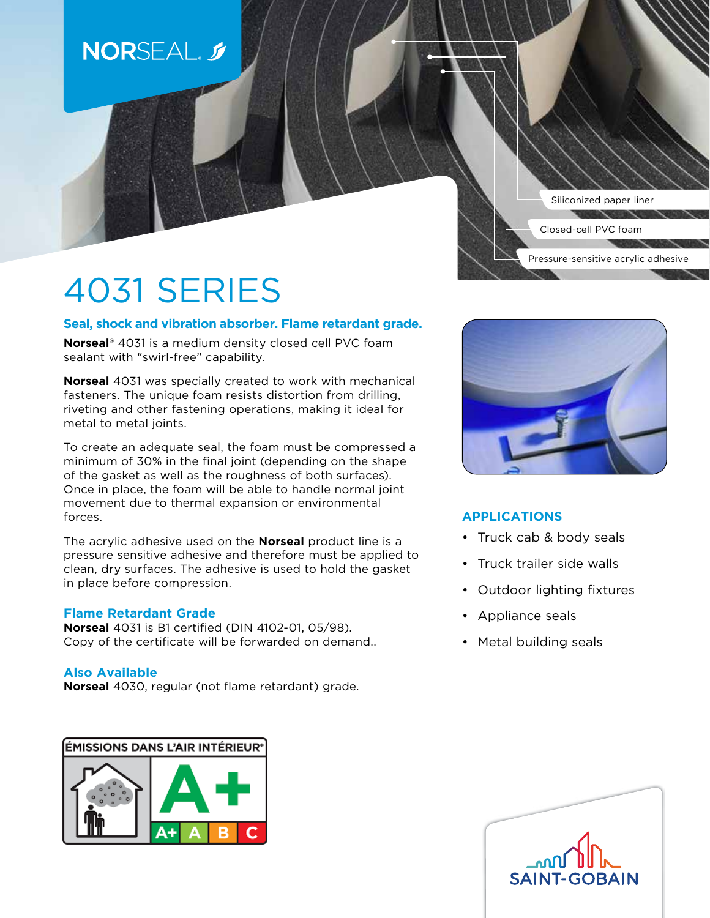# **NORSEAL.** 5

Siliconized paper liner

Pressure-sensitive acrylic adhesive

Closed-cell PVC foam

4031 SERIES

# **Seal, shock and vibration absorber. Flame retardant grade.**

**Norseal®** 4031 is a medium density closed cell PVC foam sealant with "swirl-free" capability.

**Norseal** 4031 was specially created to work with mechanical fasteners. The unique foam resists distortion from drilling, riveting and other fastening operations, making it ideal for metal to metal joints.

To create an adequate seal, the foam must be compressed a minimum of 30% in the final joint (depending on the shape of the gasket as well as the roughness of both surfaces). Once in place, the foam will be able to handle normal joint movement due to thermal expansion or environmental forces.

The acrylic adhesive used on the **Norseal** product line is a pressure sensitive adhesive and therefore must be applied to clean, dry surfaces. The adhesive is used to hold the gasket in place before compression.

## **Flame Retardant Grade**

**Norseal** 4031 is B1 certified (DIN 4102-01, 05/98). Copy of the certificate will be forwarded on demand..

## **Also Available**

**Norseal** 4030, regular (not flame retardant) grade.

ÉMISSIONS DANS L'AIR INTÉRIEUR\*





# **APPLICATIONS**

- Truck cab & body seals
- Truck trailer side walls
- Outdoor lighting fixtures
- Appliance seals
- Metal building seals